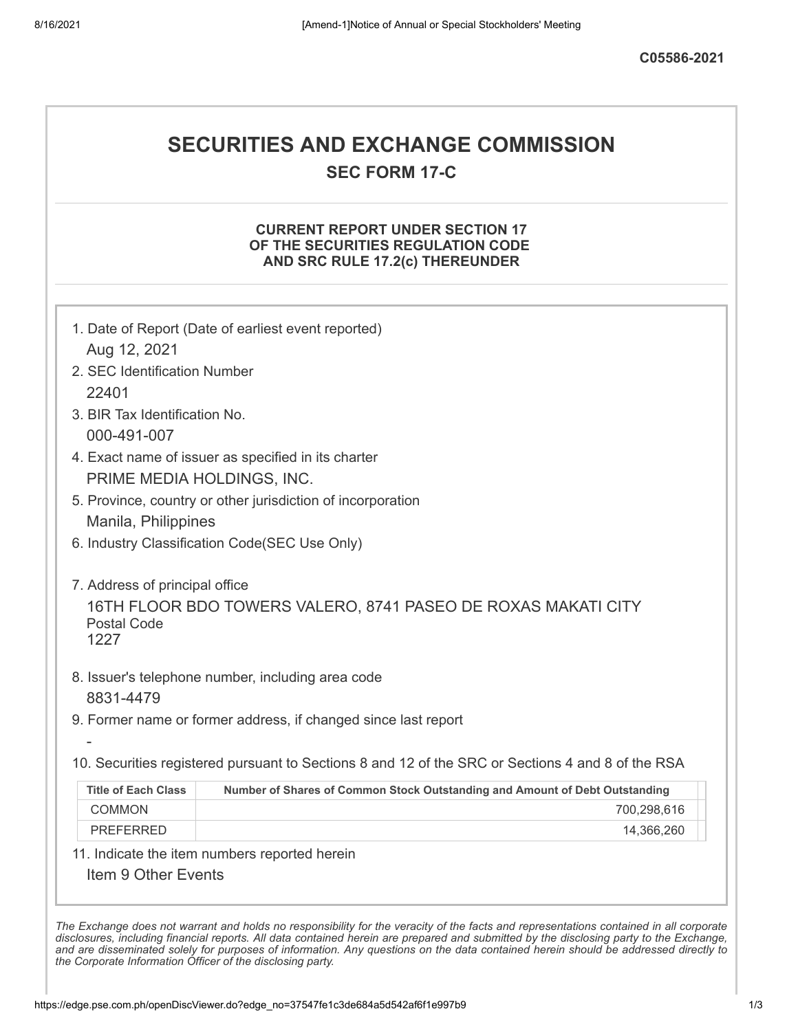# **SECURITIES AND EXCHANGE COMMISSION**

**SEC FORM 17-C**

#### **CURRENT REPORT UNDER SECTION 17 OF THE SECURITIES REGULATION CODE AND SRC RULE 17.2(c) THEREUNDER**

|                                                                      | 1. Date of Report (Date of earliest event reported)                                               |  |
|----------------------------------------------------------------------|---------------------------------------------------------------------------------------------------|--|
| Aug 12, 2021                                                         |                                                                                                   |  |
| 2. SEC Identification Number<br>22401                                |                                                                                                   |  |
|                                                                      |                                                                                                   |  |
| 3. BIR Tax Identification No.<br>000-491-007                         |                                                                                                   |  |
|                                                                      |                                                                                                   |  |
|                                                                      | 4. Exact name of issuer as specified in its charter<br>PRIME MEDIA HOLDINGS, INC.                 |  |
|                                                                      |                                                                                                   |  |
|                                                                      | 5. Province, country or other jurisdiction of incorporation                                       |  |
| Manila, Philippines<br>6. Industry Classification Code(SEC Use Only) |                                                                                                   |  |
|                                                                      |                                                                                                   |  |
| 7. Address of principal office<br><b>Postal Code</b><br>1227         | 16TH FLOOR BDO TOWERS VALERO, 8741 PASEO DE ROXAS MAKATI CITY                                     |  |
| 8831-4479                                                            | 8. Issuer's telephone number, including area code                                                 |  |
|                                                                      | 9. Former name or former address, if changed since last report                                    |  |
|                                                                      |                                                                                                   |  |
|                                                                      | 10. Securities registered pursuant to Sections 8 and 12 of the SRC or Sections 4 and 8 of the RSA |  |
| <b>Title of Each Class</b>                                           | Number of Shares of Common Stock Outstanding and Amount of Debt Outstanding                       |  |
| <b>COMMON</b>                                                        | 700,298,616                                                                                       |  |
| <b>PREFERRED</b>                                                     | 14,366,260                                                                                        |  |
|                                                                      | 11. Indicate the item numbers reported herein                                                     |  |
| Item 9 Other Events                                                  |                                                                                                   |  |
|                                                                      |                                                                                                   |  |

The Exchange does not warrant and holds no responsibility for the veracity of the facts and representations contained in all corporate disclosures, including financial reports. All data contained herein are prepared and submitted by the disclosing party to the Exchange, and are disseminated solely for purposes of information. Any questions on the data contained herein should be addressed directly to *the Corporate Information Officer of the disclosing party.*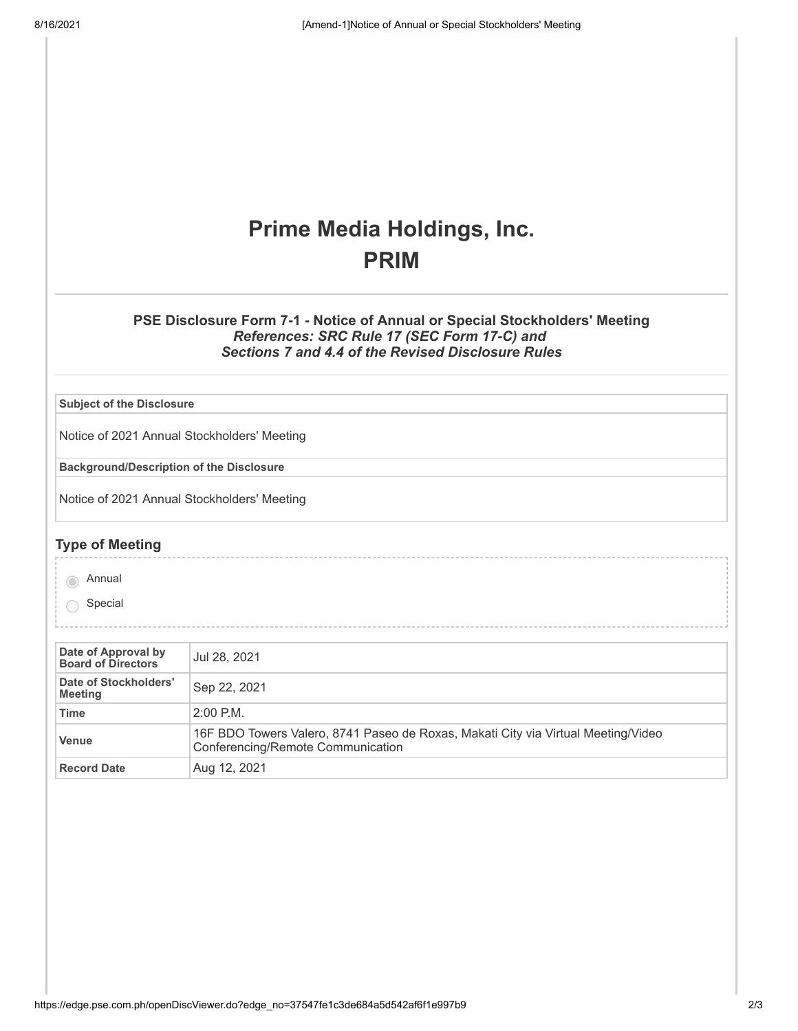## **Prime Media Holdings, Inc. PRIM**

#### **PSE Disclosure Form 7-1 - Notice of Annual or Special Stockholders' Meeting** *References: SRC Rule 17 (SEC Form 17-C) and Sections 7 and 4.4 of the Revised Disclosure Rules*

**Subject of the Disclosure**

Notice of 2021 Annual Stockholders' Meeting

**Background/Description of the Disclosure**

Notice of 2021 Annual Stockholders' Meeting

### **Type of Meeting**

annual

Special

| Date of Approval by<br><b>Board of Directors</b> | Jul 28, 2021                                                                                                           |  |
|--------------------------------------------------|------------------------------------------------------------------------------------------------------------------------|--|
| Date of Stockholders'<br><b>Meeting</b>          | Sep 22, 2021                                                                                                           |  |
| Time                                             | $2:00$ P.M.                                                                                                            |  |
| Venue                                            | 16F BDO Towers Valero, 8741 Paseo de Roxas, Makati City via Virtual Meeting/Video<br>Conferencing/Remote Communication |  |
| <b>Record Date</b>                               | Aug 12, 2021                                                                                                           |  |